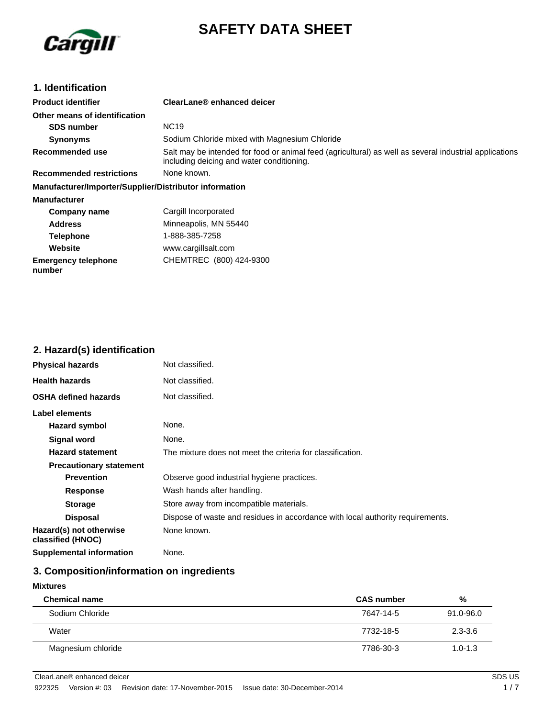

# **SAFETY DATA SHEET**

### **1. Identification**

| <b>Product identifier</b>                              | ClearLane® enhanced deicer                                                                                                                          |
|--------------------------------------------------------|-----------------------------------------------------------------------------------------------------------------------------------------------------|
| Other means of identification                          |                                                                                                                                                     |
| <b>SDS number</b>                                      | <b>NC19</b>                                                                                                                                         |
| <b>Synonyms</b>                                        | Sodium Chloride mixed with Magnesium Chloride                                                                                                       |
| Recommended use                                        | Salt may be intended for food or animal feed (agricultural) as well as several industrial applications<br>including deicing and water conditioning. |
| <b>Recommended restrictions</b>                        | None known.                                                                                                                                         |
| Manufacturer/Importer/Supplier/Distributor information |                                                                                                                                                     |
| <b>Manufacturer</b>                                    |                                                                                                                                                     |
| Company name                                           | Cargill Incorporated                                                                                                                                |
| <b>Address</b>                                         | Minneapolis, MN 55440                                                                                                                               |
| <b>Telephone</b>                                       | 1-888-385-7258                                                                                                                                      |
| Website                                                | www.cargillsalt.com                                                                                                                                 |
| <b>Emergency telephone</b><br>number                   | CHEMTREC (800) 424-9300                                                                                                                             |

### **2. Hazard(s) identification**

| <b>Physical hazards</b>                      | Not classified.                                                                |  |
|----------------------------------------------|--------------------------------------------------------------------------------|--|
| <b>Health hazards</b>                        | Not classified.                                                                |  |
| <b>OSHA defined hazards</b>                  | Not classified.                                                                |  |
| Label elements                               |                                                                                |  |
| Hazard symbol                                | None.                                                                          |  |
| Signal word                                  | None.                                                                          |  |
| <b>Hazard statement</b>                      | The mixture does not meet the criteria for classification.                     |  |
| <b>Precautionary statement</b>               |                                                                                |  |
| <b>Prevention</b>                            | Observe good industrial hygiene practices.                                     |  |
| <b>Response</b>                              | Wash hands after handling.                                                     |  |
| <b>Storage</b>                               | Store away from incompatible materials.                                        |  |
| <b>Disposal</b>                              | Dispose of waste and residues in accordance with local authority requirements. |  |
| Hazard(s) not otherwise<br>classified (HNOC) | None known.                                                                    |  |
| <b>Supplemental information</b>              | None.                                                                          |  |

# **3. Composition/information on ingredients**

### **Mixtures**

| <b>Chemical name</b> | <b>CAS number</b> | %           |
|----------------------|-------------------|-------------|
| Sodium Chloride      | 7647-14-5         | 91.0-96.0   |
| Water                | 7732-18-5         | $2.3 - 3.6$ |
| Magnesium chloride   | 7786-30-3         | $1.0 - 1.3$ |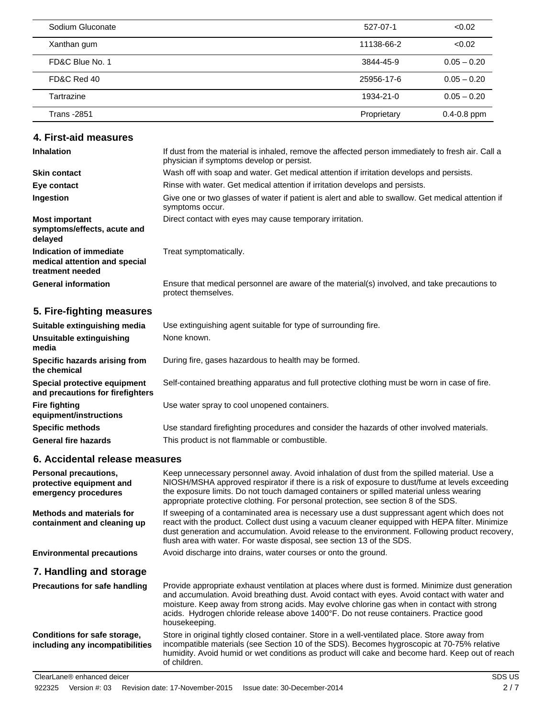| Sodium Gluconate   | 527-07-1    | < 0.02          |
|--------------------|-------------|-----------------|
| Xanthan gum        | 11138-66-2  | < 0.02          |
| FD&C Blue No. 1    | 3844-45-9   | $0.05 - 0.20$   |
| FD&C Red 40        | 25956-17-6  | $0.05 - 0.20$   |
| Tartrazine         | 1934-21-0   | $0.05 - 0.20$   |
| <b>Trans</b> -2851 | Proprietary | $0.4 - 0.8$ ppm |

### **4. First-aid measures**

| <b>Inhalation</b>                                                            | If dust from the material is inhaled, remove the affected person immediately to fresh air. Call a<br>physician if symptoms develop or persist. |
|------------------------------------------------------------------------------|------------------------------------------------------------------------------------------------------------------------------------------------|
| <b>Skin contact</b>                                                          | Wash off with soap and water. Get medical attention if irritation develops and persists.                                                       |
| Eye contact                                                                  | Rinse with water. Get medical attention if irritation develops and persists.                                                                   |
| Ingestion                                                                    | Give one or two glasses of water if patient is alert and able to swallow. Get medical attention if<br>symptoms occur.                          |
| <b>Most important</b><br>symptoms/effects, acute and<br>delayed              | Direct contact with eyes may cause temporary irritation.                                                                                       |
| Indication of immediate<br>medical attention and special<br>treatment needed | Treat symptomatically.                                                                                                                         |
| <b>General information</b>                                                   | Ensure that medical personnel are aware of the material(s) involved, and take precautions to<br>protect themselves.                            |
| 5 Fire-fighting measures                                                     |                                                                                                                                                |

### **5. Fire-fighting measures**

| Suitable extinguishing media                                     | Use extinguishing agent suitable for type of surrounding fire.                                |
|------------------------------------------------------------------|-----------------------------------------------------------------------------------------------|
| Unsuitable extinguishing<br>media                                | None known.                                                                                   |
| Specific hazards arising from<br>the chemical                    | During fire, gases hazardous to health may be formed.                                         |
| Special protective equipment<br>and precautions for firefighters | Self-contained breathing apparatus and full protective clothing must be worn in case of fire. |
| <b>Fire fighting</b><br>equipment/instructions                   | Use water spray to cool unopened containers.                                                  |
| <b>Specific methods</b>                                          | Use standard firefighting procedures and consider the hazards of other involved materials.    |
| <b>General fire hazards</b>                                      | This product is not flammable or combustible.                                                 |

### **6. Accidental release measures**

| <b>Personal precautions,</b><br>protective equipment and<br>emergency procedures | Keep unnecessary personnel away. Avoid inhalation of dust from the spilled material. Use a<br>NIOSH/MSHA approved respirator if there is a risk of exposure to dust/fume at levels exceeding<br>the exposure limits. Do not touch damaged containers or spilled material unless wearing                                                                                                                                                                           |
|----------------------------------------------------------------------------------|-------------------------------------------------------------------------------------------------------------------------------------------------------------------------------------------------------------------------------------------------------------------------------------------------------------------------------------------------------------------------------------------------------------------------------------------------------------------|
| Methods and materials for<br>containment and cleaning up                         | appropriate protective clothing. For personal protection, see section 8 of the SDS.<br>If sweeping of a contaminated area is necessary use a dust suppressant agent which does not<br>react with the product. Collect dust using a vacuum cleaner equipped with HEPA filter. Minimize<br>dust generation and accumulation. Avoid release to the environment. Following product recovery,<br>flush area with water. For waste disposal, see section 13 of the SDS. |
| <b>Environmental precautions</b>                                                 | Avoid discharge into drains, water courses or onto the ground.                                                                                                                                                                                                                                                                                                                                                                                                    |
| 7. Handling and storage                                                          |                                                                                                                                                                                                                                                                                                                                                                                                                                                                   |
| <b>Precautions for safe handling</b>                                             | Provide appropriate exhaust ventilation at places where dust is formed. Minimize dust generation<br>and accumulation. Avoid breathing dust. Avoid contact with eyes. Avoid contact with water and<br>moisture. Keep away from strong acids. May evolve chlorine gas when in contact with strong<br>acids. Hydrogen chloride release above 1400°F. Do not reuse containers. Practice good<br>housekeeping.                                                         |
| Conditions for safe storage,<br>including any incompatibilities                  | Store in original tightly closed container. Store in a well-ventilated place. Store away from<br>incompatible materials (see Section 10 of the SDS). Becomes hygroscopic at 70-75% relative<br>humidity. Avoid humid or wet conditions as product will cake and become hard. Keep out of reach<br>of children.                                                                                                                                                    |
| ClearLane® enhanced deicer                                                       | SDS US                                                                                                                                                                                                                                                                                                                                                                                                                                                            |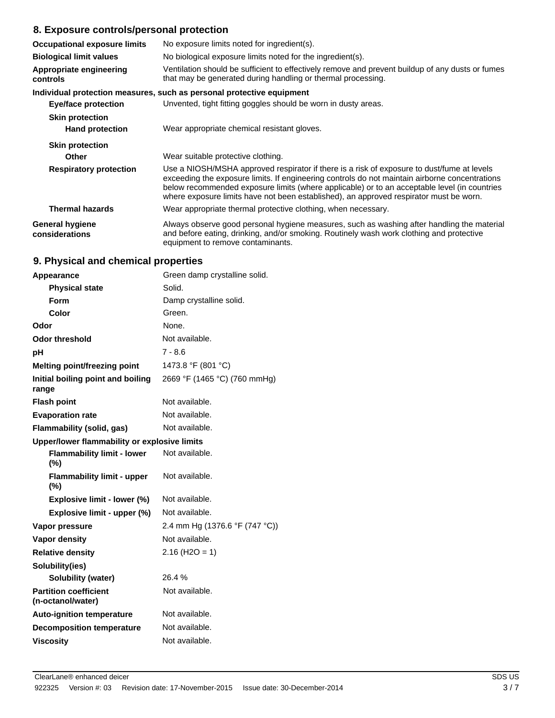### **8. Exposure controls/personal protection**

| <b>Occupational exposure limits</b>      | No exposure limits noted for ingredient(s).                                                                                                                                                                                                                                                                                                                                            |  |  |
|------------------------------------------|----------------------------------------------------------------------------------------------------------------------------------------------------------------------------------------------------------------------------------------------------------------------------------------------------------------------------------------------------------------------------------------|--|--|
| <b>Biological limit values</b>           | No biological exposure limits noted for the ingredient(s).                                                                                                                                                                                                                                                                                                                             |  |  |
| Appropriate engineering<br>controls      | Ventilation should be sufficient to effectively remove and prevent buildup of any dusts or fumes<br>that may be generated during handling or thermal processing.                                                                                                                                                                                                                       |  |  |
|                                          | Individual protection measures, such as personal protective equipment                                                                                                                                                                                                                                                                                                                  |  |  |
| Eye/face protection                      | Unvented, tight fitting goggles should be worn in dusty areas.                                                                                                                                                                                                                                                                                                                         |  |  |
| <b>Skin protection</b>                   |                                                                                                                                                                                                                                                                                                                                                                                        |  |  |
| <b>Hand protection</b>                   | Wear appropriate chemical resistant gloves.                                                                                                                                                                                                                                                                                                                                            |  |  |
| <b>Skin protection</b>                   |                                                                                                                                                                                                                                                                                                                                                                                        |  |  |
| Other                                    | Wear suitable protective clothing.                                                                                                                                                                                                                                                                                                                                                     |  |  |
| <b>Respiratory protection</b>            | Use a NIOSH/MSHA approved respirator if there is a risk of exposure to dust/fume at levels<br>exceeding the exposure limits. If engineering controls do not maintain airborne concentrations<br>below recommended exposure limits (where applicable) or to an acceptable level (in countries<br>where exposure limits have not been established), an approved respirator must be worn. |  |  |
| <b>Thermal hazards</b>                   | Wear appropriate thermal protective clothing, when necessary.                                                                                                                                                                                                                                                                                                                          |  |  |
| <b>General hygiene</b><br>considerations | Always observe good personal hygiene measures, such as washing after handling the material<br>and before eating, drinking, and/or smoking. Routinely wash work clothing and protective<br>equipment to remove contaminants.                                                                                                                                                            |  |  |

# **9. Physical and chemical properties**

| Appearance                                        | Green damp crystalline solid.  |  |
|---------------------------------------------------|--------------------------------|--|
| <b>Physical state</b>                             | Solid.                         |  |
| Form                                              | Damp crystalline solid.        |  |
| Color                                             | Green.                         |  |
| Odor                                              | None.                          |  |
| <b>Odor threshold</b>                             | Not available.                 |  |
| рH                                                | $7 - 8.6$                      |  |
| Melting point/freezing point                      | 1473.8 °F (801 °C)             |  |
| Initial boiling point and boiling<br>range        | 2669 °F (1465 °C) (760 mmHg)   |  |
| <b>Flash point</b>                                | Not available.                 |  |
| <b>Evaporation rate</b>                           | Not available.                 |  |
| Flammability (solid, gas)                         | Not available.                 |  |
| Upper/lower flammability or explosive limits      |                                |  |
| <b>Flammability limit - lower</b><br>$(\%)$       | Not available.                 |  |
| <b>Flammability limit - upper</b><br>$(\%)$       | Not available.                 |  |
| Explosive limit - lower (%)                       | Not available.                 |  |
| Explosive limit - upper (%)                       | Not available.                 |  |
| Vapor pressure                                    | 2.4 mm Hg (1376.6 °F (747 °C)) |  |
| <b>Vapor density</b>                              | Not available.                 |  |
| <b>Relative density</b>                           | $2.16$ (H <sub>2</sub> O = 1)  |  |
| Solubility(ies)                                   |                                |  |
| <b>Solubility (water)</b>                         | 26.4%                          |  |
| <b>Partition coefficient</b><br>(n-octanol/water) | Not available.                 |  |
| <b>Auto-ignition temperature</b>                  | Not available.                 |  |
| <b>Decomposition temperature</b>                  | Not available.                 |  |
| <b>Viscositv</b>                                  | Not available.                 |  |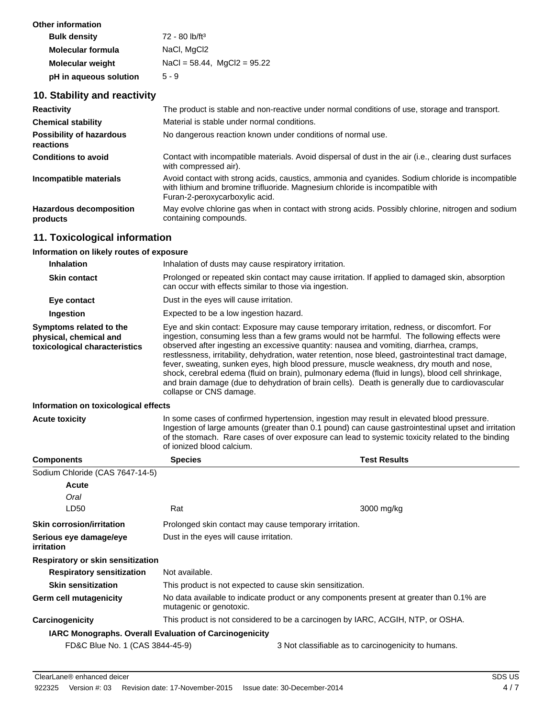| Other information        |                                  |
|--------------------------|----------------------------------|
| <b>Bulk density</b>      | 72 - 80 lb/ft <sup>3</sup>       |
| <b>Molecular formula</b> | NaCl, MgCl <sub>2</sub>          |
| <b>Molecular weight</b>  | $NaCl = 58.44$ , $MqCl2 = 95.22$ |
| pH in aqueous solution   | $5 - 9$                          |

# **10. Stability and reactivity**

| <b>Reactivity</b>                          | The product is stable and non-reactive under normal conditions of use, storage and transport.                                                                                                                       |
|--------------------------------------------|---------------------------------------------------------------------------------------------------------------------------------------------------------------------------------------------------------------------|
| <b>Chemical stability</b>                  | Material is stable under normal conditions.                                                                                                                                                                         |
| Possibility of hazardous<br>reactions      | No dangerous reaction known under conditions of normal use.                                                                                                                                                         |
| <b>Conditions to avoid</b>                 | Contact with incompatible materials. Avoid dispersal of dust in the air (i.e., clearing dust surfaces<br>with compressed air).                                                                                      |
| Incompatible materials                     | Avoid contact with strong acids, caustics, ammonia and cyanides. Sodium chloride is incompatible<br>with lithium and bromine trifluoride. Magnesium chloride is incompatible with<br>Furan-2-peroxycarboxylic acid. |
| <b>Hazardous decomposition</b><br>products | May evolve chlorine gas when in contact with strong acids. Possibly chlorine, nitrogen and sodium<br>containing compounds.                                                                                          |

# **11. Toxicological information**

### **Information on likely routes of exposure**

| <b>Inhalation</b>                                                                  | Inhalation of dusts may cause respiratory irritation.                                                                                                                                                                                                                                                                                                                                                                                                                                                                                                                                                                                                                                                                  |                                                     |
|------------------------------------------------------------------------------------|------------------------------------------------------------------------------------------------------------------------------------------------------------------------------------------------------------------------------------------------------------------------------------------------------------------------------------------------------------------------------------------------------------------------------------------------------------------------------------------------------------------------------------------------------------------------------------------------------------------------------------------------------------------------------------------------------------------------|-----------------------------------------------------|
| <b>Skin contact</b>                                                                | Prolonged or repeated skin contact may cause irritation. If applied to damaged skin, absorption<br>can occur with effects similar to those via ingestion.                                                                                                                                                                                                                                                                                                                                                                                                                                                                                                                                                              |                                                     |
| Eye contact                                                                        | Dust in the eyes will cause irritation.                                                                                                                                                                                                                                                                                                                                                                                                                                                                                                                                                                                                                                                                                |                                                     |
| Ingestion                                                                          | Expected to be a low ingestion hazard.                                                                                                                                                                                                                                                                                                                                                                                                                                                                                                                                                                                                                                                                                 |                                                     |
| Symptoms related to the<br>physical, chemical and<br>toxicological characteristics | Eye and skin contact: Exposure may cause temporary irritation, redness, or discomfort. For<br>ingestion, consuming less than a few grams would not be harmful. The following effects were<br>observed after ingesting an excessive quantity: nausea and vomiting, diarrhea, cramps,<br>restlessness, irritability, dehydration, water retention, nose bleed, gastrointestinal tract damage,<br>fever, sweating, sunken eyes, high blood pressure, muscle weakness, dry mouth and nose,<br>shock, cerebral edema (fluid on brain), pulmonary edema (fluid in lungs), blood cell shrinkage,<br>and brain damage (due to dehydration of brain cells). Death is generally due to cardiovascular<br>collapse or CNS damage. |                                                     |
| Information on toxicological effects                                               |                                                                                                                                                                                                                                                                                                                                                                                                                                                                                                                                                                                                                                                                                                                        |                                                     |
| <b>Acute toxicity</b>                                                              | In some cases of confirmed hypertension, ingestion may result in elevated blood pressure.<br>Ingestion of large amounts (greater than 0.1 pound) can cause gastrointestinal upset and irritation<br>of the stomach. Rare cases of over exposure can lead to systemic toxicity related to the binding<br>of ionized blood calcium.                                                                                                                                                                                                                                                                                                                                                                                      |                                                     |
| <b>Components</b>                                                                  | <b>Species</b>                                                                                                                                                                                                                                                                                                                                                                                                                                                                                                                                                                                                                                                                                                         | <b>Test Results</b>                                 |
| Sodium Chloride (CAS 7647-14-5)                                                    |                                                                                                                                                                                                                                                                                                                                                                                                                                                                                                                                                                                                                                                                                                                        |                                                     |
| <b>Acute</b>                                                                       |                                                                                                                                                                                                                                                                                                                                                                                                                                                                                                                                                                                                                                                                                                                        |                                                     |
| Oral                                                                               |                                                                                                                                                                                                                                                                                                                                                                                                                                                                                                                                                                                                                                                                                                                        |                                                     |
| LD50                                                                               | Rat                                                                                                                                                                                                                                                                                                                                                                                                                                                                                                                                                                                                                                                                                                                    | 3000 mg/kg                                          |
| <b>Skin corrosion/irritation</b>                                                   | Prolonged skin contact may cause temporary irritation.                                                                                                                                                                                                                                                                                                                                                                                                                                                                                                                                                                                                                                                                 |                                                     |
| Serious eye damage/eye<br>irritation                                               | Dust in the eyes will cause irritation.                                                                                                                                                                                                                                                                                                                                                                                                                                                                                                                                                                                                                                                                                |                                                     |
| Respiratory or skin sensitization                                                  |                                                                                                                                                                                                                                                                                                                                                                                                                                                                                                                                                                                                                                                                                                                        |                                                     |
| <b>Respiratory sensitization</b>                                                   | Not available.                                                                                                                                                                                                                                                                                                                                                                                                                                                                                                                                                                                                                                                                                                         |                                                     |
| <b>Skin sensitization</b>                                                          | This product is not expected to cause skin sensitization.                                                                                                                                                                                                                                                                                                                                                                                                                                                                                                                                                                                                                                                              |                                                     |
| Germ cell mutagenicity                                                             | No data available to indicate product or any components present at greater than 0.1% are<br>mutagenic or genotoxic.                                                                                                                                                                                                                                                                                                                                                                                                                                                                                                                                                                                                    |                                                     |
| <b>Carcinogenicity</b>                                                             | This product is not considered to be a carcinogen by IARC, ACGIH, NTP, or OSHA.                                                                                                                                                                                                                                                                                                                                                                                                                                                                                                                                                                                                                                        |                                                     |
| IARC Monographs. Overall Evaluation of Carcinogenicity                             |                                                                                                                                                                                                                                                                                                                                                                                                                                                                                                                                                                                                                                                                                                                        |                                                     |
| FD&C Blue No. 1 (CAS 3844-45-9)                                                    |                                                                                                                                                                                                                                                                                                                                                                                                                                                                                                                                                                                                                                                                                                                        | 3 Not classifiable as to carcinogenicity to humans. |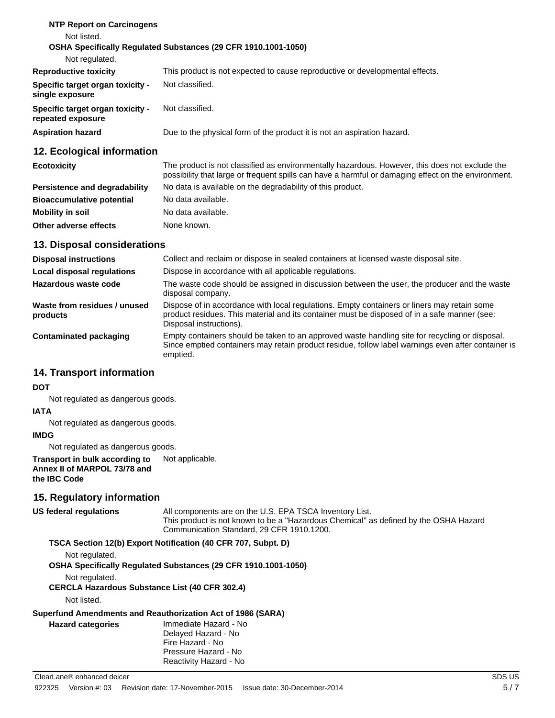| <b>NTP Report on Carcinogens</b>                      |                                                                              |
|-------------------------------------------------------|------------------------------------------------------------------------------|
| Not listed.                                           |                                                                              |
|                                                       | OSHA Specifically Regulated Substances (29 CFR 1910.1001-1050)               |
| Not regulated.                                        |                                                                              |
| <b>Reproductive toxicity</b>                          | This product is not expected to cause reproductive or developmental effects. |
| Specific target organ toxicity -<br>single exposure   | Not classified.                                                              |
| Specific target organ toxicity -<br>repeated exposure | Not classified.                                                              |
| <b>Aspiration hazard</b>                              | Due to the physical form of the product it is not an aspiration hazard.      |
|                                                       |                                                                              |

### **12. Ecological information**

| <b>Ecotoxicity</b>               | The product is not classified as environmentally hazardous. However, this does not exclude the<br>possibility that large or frequent spills can have a harmful or damaging effect on the environment. |  |
|----------------------------------|-------------------------------------------------------------------------------------------------------------------------------------------------------------------------------------------------------|--|
| Persistence and degradability    | No data is available on the degradability of this product.                                                                                                                                            |  |
| <b>Bioaccumulative potential</b> | No data available.                                                                                                                                                                                    |  |
| Mobility in soil                 | No data available.                                                                                                                                                                                    |  |
| Other adverse effects            | None known.                                                                                                                                                                                           |  |

### **13. Disposal considerations**

| <b>Disposal instructions</b>             | Collect and reclaim or dispose in sealed containers at licensed waste disposal site.                                                                                                                                   |  |
|------------------------------------------|------------------------------------------------------------------------------------------------------------------------------------------------------------------------------------------------------------------------|--|
| <b>Local disposal regulations</b>        | Dispose in accordance with all applicable regulations.                                                                                                                                                                 |  |
| Hazardous waste code                     | The waste code should be assigned in discussion between the user, the producer and the waste<br>disposal company.                                                                                                      |  |
| Waste from residues / unused<br>products | Dispose of in accordance with local regulations. Empty containers or liners may retain some<br>product residues. This material and its container must be disposed of in a safe manner (see:<br>Disposal instructions). |  |
| <b>Contaminated packaging</b>            | Empty containers should be taken to an approved waste handling site for recycling or disposal.<br>Since emptied containers may retain product residue, follow label warnings even after container is<br>emptied.       |  |

### **14. Transport information**

### **DOT**

Not regulated as dangerous goods.

### **IATA**

Not regulated as dangerous goods.

### **IMDG**

Not regulated as dangerous goods.

#### **Transport in bulk according to** Not applicable. **Annex II of MARPOL 73/78 and the IBC Code**

### **15. Regulatory information**

## **US federal regulations**

All components are on the U.S. EPA TSCA Inventory List. This product is not known to be a "Hazardous Chemical" as defined by the OSHA Hazard Communication Standard, 29 CFR 1910.1200.

### **TSCA Section 12(b) Export Notification (40 CFR 707, Subpt. D)**

Not regulated.

**OSHA Specifically Regulated Substances (29 CFR 1910.1001-1050)**

Not regulated.

### **CERCLA Hazardous Substance List (40 CFR 302.4)**

Not listed.

### **Superfund Amendments and Reauthorization Act of 1986 (SARA)**

| <b>Hazard categories</b> | Immediate Hazard - No<br>Delayed Hazard - No<br>Fire Hazard - No |  |
|--------------------------|------------------------------------------------------------------|--|
|                          | Pressure Hazard - No                                             |  |
|                          | Reactivity Hazard - No                                           |  |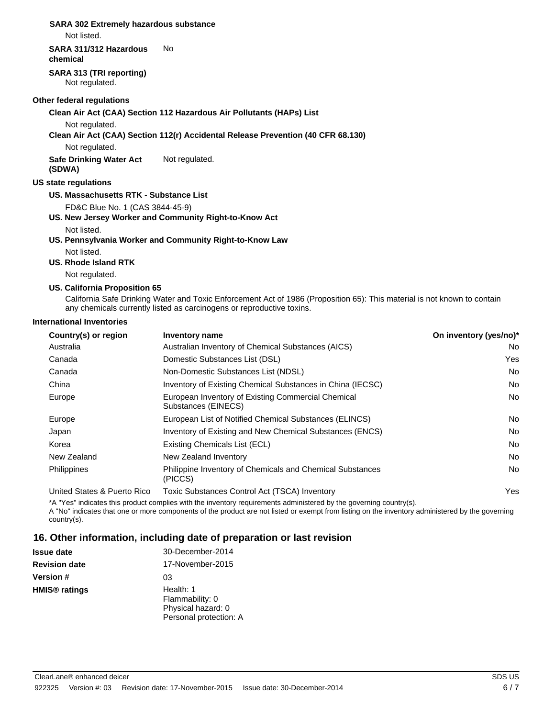### **SARA 302 Extremely hazardous substance**

Not listed.

#### **SARA 311/312 Hazardous** No

**chemical**

**SARA 313 (TRI reporting)** Not regulated.

#### **Other federal regulations**

#### **Clean Air Act (CAA) Section 112 Hazardous Air Pollutants (HAPs) List**

Not regulated.

#### **Clean Air Act (CAA) Section 112(r) Accidental Release Prevention (40 CFR 68.130)**

Not regulated.

**Safe Drinking Water Act** Not regulated. **(SDWA)**

### **US state regulations**

### **US. Massachusetts RTK - Substance List**

FD&C Blue No. 1 (CAS 3844-45-9)

**US. New Jersey Worker and Community Right-to-Know Act** Not listed.

### **US. Pennsylvania Worker and Community Right-to-Know Law**

Not listed.

#### **US. Rhode Island RTK**

Not regulated.

### **US. California Proposition 65**

California Safe Drinking Water and Toxic Enforcement Act of 1986 (Proposition 65): This material is not known to contain any chemicals currently listed as carcinogens or reproductive toxins.

#### **International Inventories**

| Country(s) or region        | <b>Inventory name</b>                                                       | On inventory (yes/no)* |
|-----------------------------|-----------------------------------------------------------------------------|------------------------|
| Australia                   | Australian Inventory of Chemical Substances (AICS)                          | No                     |
| Canada                      | Domestic Substances List (DSL)                                              | Yes                    |
| Canada                      | Non-Domestic Substances List (NDSL)                                         | No                     |
| China                       | Inventory of Existing Chemical Substances in China (IECSC)                  | No                     |
| Europe                      | European Inventory of Existing Commercial Chemical<br>Substances (EINECS)   | No                     |
| Europe                      | European List of Notified Chemical Substances (ELINCS)                      | No                     |
| Japan                       | Inventory of Existing and New Chemical Substances (ENCS)                    | No                     |
| Korea                       | Existing Chemicals List (ECL)                                               | No                     |
| New Zealand                 | New Zealand Inventory                                                       | No                     |
| <b>Philippines</b>          | <b>Philippine Inventory of Chemicals and Chemical Substances</b><br>(PICCS) | No                     |
| United States & Puerto Rico | Toxic Substances Control Act (TSCA) Inventory                               | Yes                    |

\*A "Yes" indicates this product complies with the inventory requirements administered by the governing country(s).

A "No" indicates that one or more components of the product are not listed or exempt from listing on the inventory administered by the governing country(s).

### **16. Other information, including date of preparation or last revision**

| Issue date    | 30-December-2014                                                             |
|---------------|------------------------------------------------------------------------------|
| Revision date | 17-November-2015                                                             |
| Version #     | 03                                                                           |
| HMIS® ratings | Health: 1<br>Flammability: 0<br>Physical hazard: 0<br>Personal protection: A |